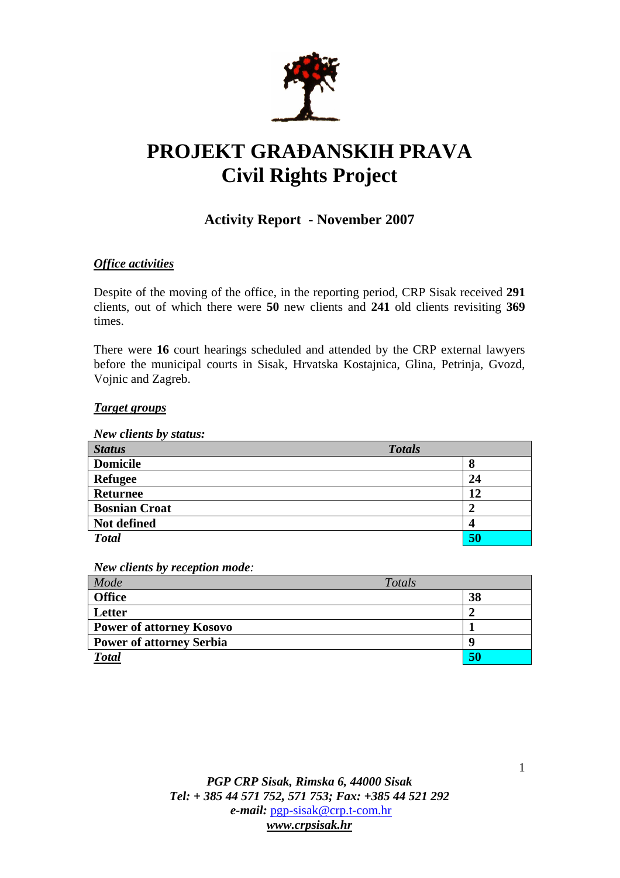

# **PROJEKT GRA**Đ**ANSKIH PRAVA Civil Rights Project**

# **Activity Report - November 2007**

# *Office activities*

Despite of the moving of the office, in the reporting period, CRP Sisak received **291** clients, out of which there were **50** new clients and **241** old clients revisiting **369**  times.

There were **16** court hearings scheduled and attended by the CRP external lawyers before the municipal courts in Sisak, Hrvatska Kostajnica, Glina, Petrinja, Gvozd, Vojnic and Zagreb.

#### *Target groups*

*New clients by status:* 

| <b>Status</b>        | <b>Totals</b> |
|----------------------|---------------|
| <b>Domicile</b>      | 8             |
| <b>Refugee</b>       | 24            |
| <b>Returnee</b>      | 12            |
| <b>Bosnian Croat</b> | 2             |
| Not defined          | 4             |
| <b>Total</b>         | 50            |

*New clients by reception mode:* 

| Model                           | Totals |    |
|---------------------------------|--------|----|
| <b>Office</b>                   |        | 38 |
| Letter                          |        |    |
| <b>Power of attorney Kosovo</b> |        |    |
| <b>Power of attorney Serbia</b> |        | O  |
| <b>Total</b>                    |        | 50 |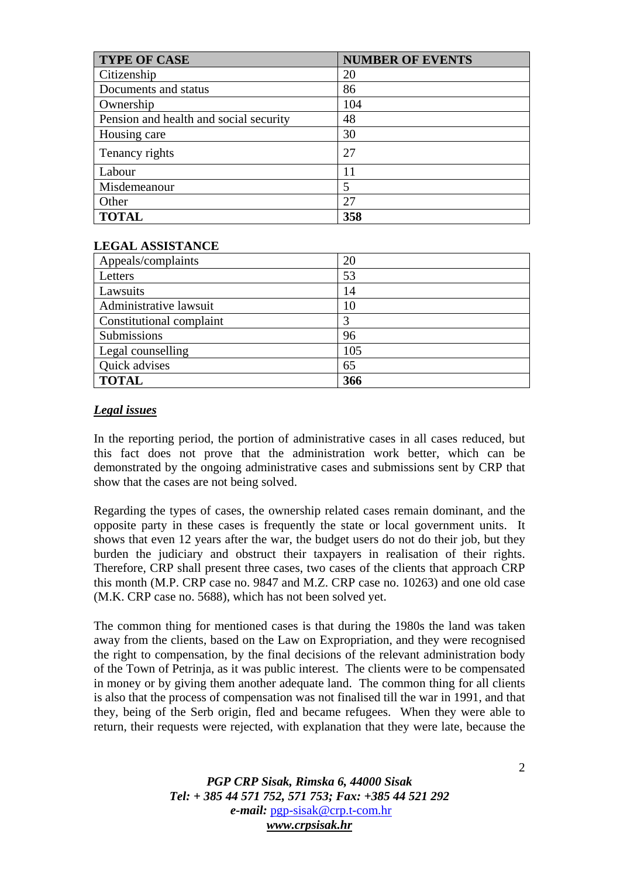| <b>TYPE OF CASE</b>                    | <b>NUMBER OF EVENTS</b> |
|----------------------------------------|-------------------------|
| Citizenship                            | 20                      |
| Documents and status                   | 86                      |
| Ownership                              | 104                     |
| Pension and health and social security | 48                      |
| Housing care                           | 30                      |
| Tenancy rights                         | 27                      |
| Labour                                 | 11                      |
| Misdemeanour                           |                         |
| Other                                  | 27                      |
| <b>TOTAL</b>                           | 358                     |

## **LEGAL ASSISTANCE**

| Appeals/complaints       | 20  |
|--------------------------|-----|
| Letters                  | 53  |
| Lawsuits                 | 14  |
| Administrative lawsuit   | 10  |
| Constitutional complaint |     |
| Submissions              | 96  |
| Legal counselling        | 105 |
| Quick advises            | 65  |
| <b>TOTAL</b>             | 366 |

## *Legal issues*

In the reporting period, the portion of administrative cases in all cases reduced, but this fact does not prove that the administration work better, which can be demonstrated by the ongoing administrative cases and submissions sent by CRP that show that the cases are not being solved.

Regarding the types of cases, the ownership related cases remain dominant, and the opposite party in these cases is frequently the state or local government units. It shows that even 12 years after the war, the budget users do not do their job, but they burden the judiciary and obstruct their taxpayers in realisation of their rights. Therefore, CRP shall present three cases, two cases of the clients that approach CRP this month (M.P. CRP case no. 9847 and M.Z. CRP case no. 10263) and one old case (M.K. CRP case no. 5688), which has not been solved yet.

The common thing for mentioned cases is that during the 1980s the land was taken away from the clients, based on the Law on Expropriation, and they were recognised the right to compensation, by the final decisions of the relevant administration body of the Town of Petrinja, as it was public interest. The clients were to be compensated in money or by giving them another adequate land. The common thing for all clients is also that the process of compensation was not finalised till the war in 1991, and that they, being of the Serb origin, fled and became refugees. When they were able to return, their requests were rejected, with explanation that they were late, because the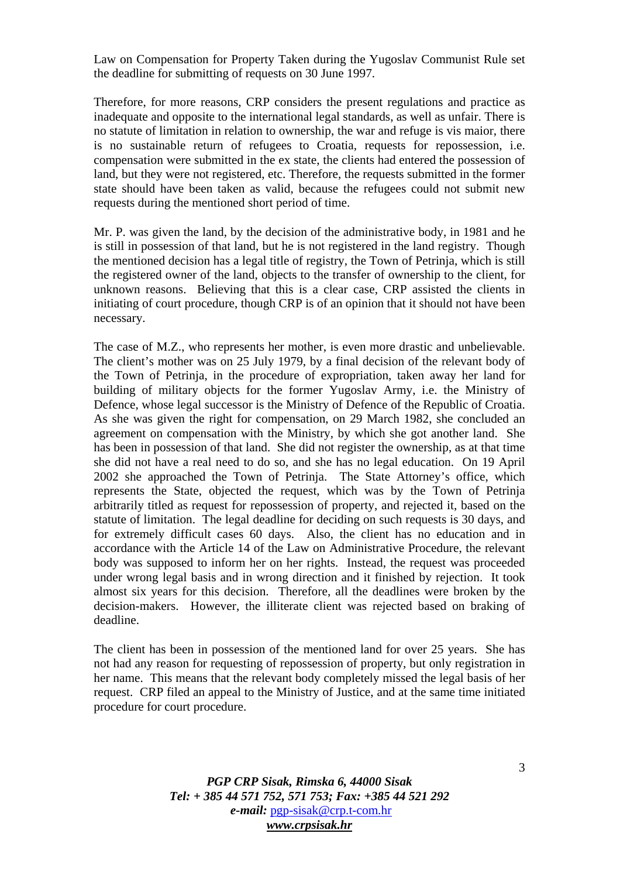Law on Compensation for Property Taken during the Yugoslav Communist Rule set the deadline for submitting of requests on 30 June 1997.

Therefore, for more reasons, CRP considers the present regulations and practice as inadequate and opposite to the international legal standards, as well as unfair. There is no statute of limitation in relation to ownership, the war and refuge is vis maior, there is no sustainable return of refugees to Croatia, requests for repossession, i.e. compensation were submitted in the ex state, the clients had entered the possession of land, but they were not registered, etc. Therefore, the requests submitted in the former state should have been taken as valid, because the refugees could not submit new requests during the mentioned short period of time.

Mr. P. was given the land, by the decision of the administrative body, in 1981 and he is still in possession of that land, but he is not registered in the land registry. Though the mentioned decision has a legal title of registry, the Town of Petrinja, which is still the registered owner of the land, objects to the transfer of ownership to the client, for unknown reasons. Believing that this is a clear case, CRP assisted the clients in initiating of court procedure, though CRP is of an opinion that it should not have been necessary.

The case of M.Z., who represents her mother, is even more drastic and unbelievable. The client's mother was on 25 July 1979, by a final decision of the relevant body of the Town of Petrinja, in the procedure of expropriation, taken away her land for building of military objects for the former Yugoslav Army, i.e. the Ministry of Defence, whose legal successor is the Ministry of Defence of the Republic of Croatia. As she was given the right for compensation, on 29 March 1982, she concluded an agreement on compensation with the Ministry, by which she got another land. She has been in possession of that land. She did not register the ownership, as at that time she did not have a real need to do so, and she has no legal education. On 19 April 2002 she approached the Town of Petrinja. The State Attorney's office, which represents the State, objected the request, which was by the Town of Petrinja arbitrarily titled as request for repossession of property, and rejected it, based on the statute of limitation. The legal deadline for deciding on such requests is 30 days, and for extremely difficult cases 60 days. Also, the client has no education and in accordance with the Article 14 of the Law on Administrative Procedure, the relevant body was supposed to inform her on her rights. Instead, the request was proceeded under wrong legal basis and in wrong direction and it finished by rejection. It took almost six years for this decision. Therefore, all the deadlines were broken by the decision-makers. However, the illiterate client was rejected based on braking of deadline.

The client has been in possession of the mentioned land for over 25 years. She has not had any reason for requesting of repossession of property, but only registration in her name. This means that the relevant body completely missed the legal basis of her request. CRP filed an appeal to the Ministry of Justice, and at the same time initiated procedure for court procedure.

> *PGP CRP Sisak, Rimska 6, 44000 Sisak Tel: + 385 44 571 752, 571 753; Fax: +385 44 521 292 e-mail:* pgp-sisak@crp.t-com.hr *www.crpsisak.hr*